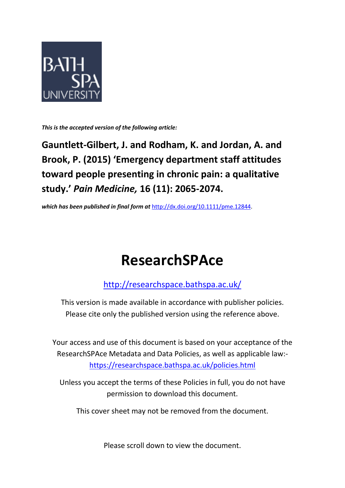

*This is the accepted version of the following article:*

**Gauntlett-Gilbert, J. and Rodham, K. and Jordan, A. and Brook, P. (2015) 'Emergency department staff attitudes toward people presenting in chronic pain: a qualitative study.'** *Pain Medicine,* **16 (11): 2065-2074.**

*which has been published in final form at* [http://dx.doi.org/10.1111/pme.12844.](http://dx.doi.org/10.1111/pme.12844)

# **ResearchSPAce**

<http://researchspace.bathspa.ac.uk/>

This version is made available in accordance with publisher policies. Please cite only the published version using the reference above.

Your access and use of this document is based on your acceptance of the ResearchSPAce Metadata and Data Policies, as well as applicable law: https://researchspace.bathspa.ac.uk/policies.html

Unless you accept the terms of these Policies in full, you do not have permission to download this document.

This cover sheet may not be removed from the document.

Please scroll down to view the document.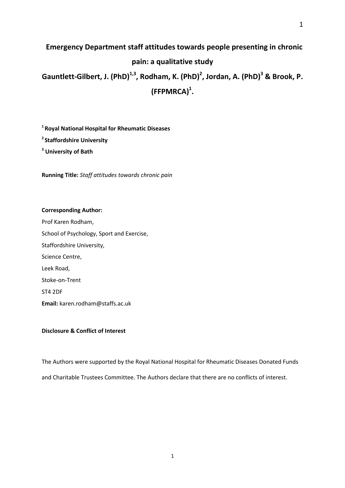# **Emergency Department staff attitudes towards people presenting in chronic pain: a qualitative study Gauntlett-Gilbert, J. (PhD)1,3, Rodham, K. (PhD)<sup>2</sup> , Jordan, A. (PhD)<sup>3</sup> & Brook, P. (FFPMRCA)<sup>1</sup> .**

**<sup>1</sup>Royal National Hospital for Rheumatic Diseases** 

**<sup>2</sup>Staffordshire University** 

**3 University of Bath** 

**Running Title:** *Staff attitudes towards chronic pain*

# **Corresponding Author:**

Prof Karen Rodham, School of Psychology, Sport and Exercise, Staffordshire University, Science Centre, Leek Road, Stoke-on-Trent ST4 2DF **Email:** karen.rodham@staffs.ac.uk

# **Disclosure & Conflict of Interest**

The Authors were supported by the Royal National Hospital for Rheumatic Diseases Donated Funds and Charitable Trustees Committee. The Authors declare that there are no conflicts of interest.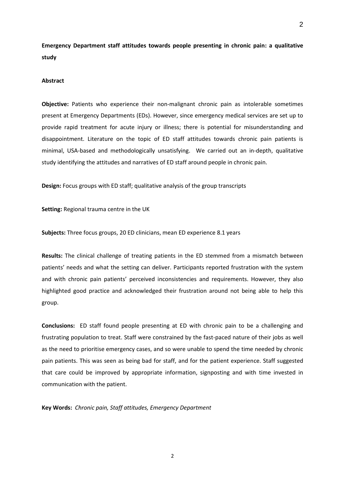**Emergency Department staff attitudes towards people presenting in chronic pain: a qualitative study** 

#### **Abstract**

**Objective:** Patients who experience their non-malignant chronic pain as intolerable sometimes present at Emergency Departments (EDs). However, since emergency medical services are set up to provide rapid treatment for acute injury or illness; there is potential for misunderstanding and disappointment. Literature on the topic of ED staff attitudes towards chronic pain patients is minimal, USA-based and methodologically unsatisfying. We carried out an in-depth, qualitative study identifying the attitudes and narratives of ED staff around people in chronic pain.

**Design:** Focus groups with ED staff; qualitative analysis of the group transcripts

**Setting:** Regional trauma centre in the UK

**Subjects:** Three focus groups, 20 ED clinicians, mean ED experience 8.1 years

**Results:** The clinical challenge of treating patients in the ED stemmed from a mismatch between patients' needs and what the setting can deliver. Participants reported frustration with the system and with chronic pain patients' perceived inconsistencies and requirements. However, they also highlighted good practice and acknowledged their frustration around not being able to help this group.

**Conclusions:** ED staff found people presenting at ED with chronic pain to be a challenging and frustrating population to treat. Staff were constrained by the fast-paced nature of their jobs as well as the need to prioritise emergency cases, and so were unable to spend the time needed by chronic pain patients. This was seen as being bad for staff, and for the patient experience. Staff suggested that care could be improved by appropriate information, signposting and with time invested in communication with the patient.

**Key Words:** *Chronic pain, Staff attitudes, Emergency Department*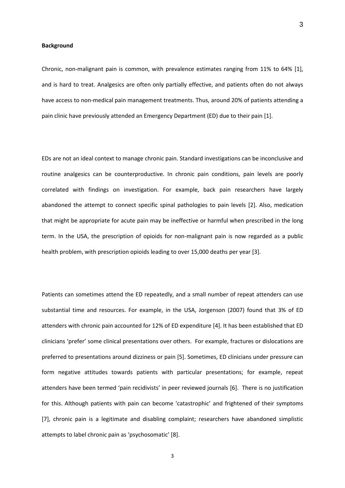#### **Background**

Chronic, non-malignant pain is common, with prevalence estimates ranging from 11% to 64% [1], and is hard to treat. Analgesics are often only partially effective, and patients often do not always have access to non-medical pain management treatments. Thus, around 20% of patients attending a pain clinic have previously attended an Emergency Department (ED) due to their pain [1].

EDs are not an ideal context to manage chronic pain. Standard investigations can be inconclusive and routine analgesics can be counterproductive. In chronic pain conditions, pain levels are poorly correlated with findings on investigation. For example, back pain researchers have largely abandoned the attempt to connect specific spinal pathologies to pain levels [2]. Also, medication that might be appropriate for acute pain may be ineffective or harmful when prescribed in the long term. In the USA, the prescription of opioids for non-malignant pain is now regarded as a public health problem, with prescription opioids leading to over 15,000 deaths per year [3].

Patients can sometimes attend the ED repeatedly, and a small number of repeat attenders can use substantial time and resources. For example, in the USA, Jorgenson (2007) found that 3% of ED attenders with chronic pain accounted for 12% of ED expenditure [4]. It has been established that ED clinicians 'prefer' some clinical presentations over others. For example, fractures or dislocations are preferred to presentations around dizziness or pain [5]. Sometimes, ED clinicians under pressure can form negative attitudes towards patients with particular presentations; for example, repeat attenders have been termed 'pain recidivists' in peer reviewed journals [6]. There is no justification for this. Although patients with pain can become 'catastrophic' and frightened of their symptoms [7], chronic pain is a legitimate and disabling complaint; researchers have abandoned simplistic attempts to label chronic pain as 'psychosomatic' [8].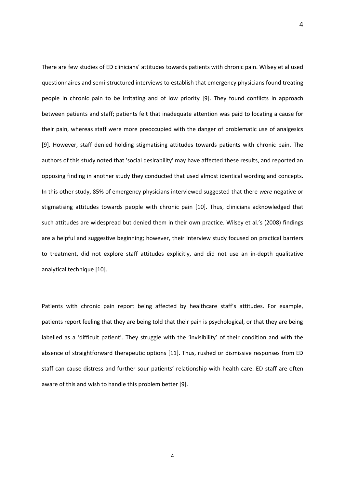There are few studies of ED clinicians' attitudes towards patients with chronic pain. Wilsey et al used questionnaires and semi-structured interviews to establish that emergency physicians found treating people in chronic pain to be irritating and of low priority [9]. They found conflicts in approach between patients and staff; patients felt that inadequate attention was paid to locating a cause for their pain, whereas staff were more preoccupied with the danger of problematic use of analgesics [9]. However, staff denied holding stigmatising attitudes towards patients with chronic pain. The authors of this study noted that 'social desirability' may have affected these results, and reported an opposing finding in another study they conducted that used almost identical wording and concepts. In this other study, 85% of emergency physicians interviewed suggested that there *were* negative or stigmatising attitudes towards people with chronic pain [10]. Thus, clinicians acknowledged that such attitudes are widespread but denied them in their own practice. Wilsey et al.'s (2008) findings are a helpful and suggestive beginning; however, their interview study focused on practical barriers to treatment, did not explore staff attitudes explicitly, and did not use an in-depth qualitative analytical technique [10].

Patients with chronic pain report being affected by healthcare staff's attitudes. For example, patients report feeling that they are being told that their pain is psychological, or that they are being labelled as a 'difficult patient'. They struggle with the 'invisibility' of their condition and with the absence of straightforward therapeutic options [11]. Thus, rushed or dismissive responses from ED staff can cause distress and further sour patients' relationship with health care. ED staff are often aware of this and wish to handle this problem better [9].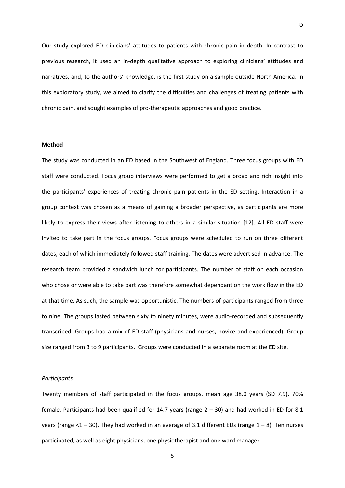Our study explored ED clinicians' attitudes to patients with chronic pain in depth. In contrast to previous research, it used an in-depth qualitative approach to exploring clinicians' attitudes and narratives, and, to the authors' knowledge, is the first study on a sample outside North America. In this exploratory study, we aimed to clarify the difficulties and challenges of treating patients with chronic pain, and sought examples of pro-therapeutic approaches and good practice.

#### **Method**

The study was conducted in an ED based in the Southwest of England. Three focus groups with ED staff were conducted. Focus group interviews were performed to get a broad and rich insight into the participants' experiences of treating chronic pain patients in the ED setting. Interaction in a group context was chosen as a means of gaining a broader perspective, as participants are more likely to express their views after listening to others in a similar situation [12]. All ED staff were invited to take part in the focus groups. Focus groups were scheduled to run on three different dates, each of which immediately followed staff training. The dates were advertised in advance. The research team provided a sandwich lunch for participants. The number of staff on each occasion who chose or were able to take part was therefore somewhat dependant on the work flow in the ED at that time. As such, the sample was opportunistic. The numbers of participants ranged from three to nine. The groups lasted between sixty to ninety minutes, were audio-recorded and subsequently transcribed. Groups had a mix of ED staff (physicians and nurses, novice and experienced). Group size ranged from 3 to 9 participants. Groups were conducted in a separate room at the ED site.

#### *Participants*

Twenty members of staff participated in the focus groups, mean age 38.0 years (SD 7.9), 70% female. Participants had been qualified for 14.7 years (range  $2 - 30$ ) and had worked in ED for 8.1 years (range  $<$ 1 – 30). They had worked in an average of 3.1 different EDs (range 1 – 8). Ten nurses participated, as well as eight physicians, one physiotherapist and one ward manager.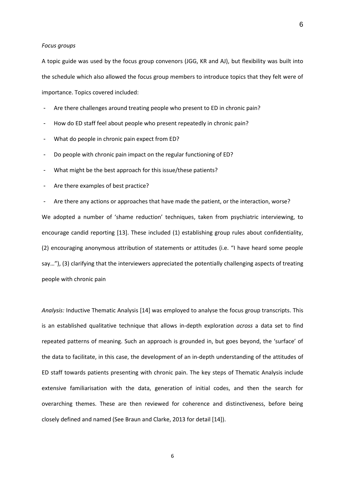#### *Focus groups*

A topic guide was used by the focus group convenors (JGG, KR and AJ), but flexibility was built into the schedule which also allowed the focus group members to introduce topics that they felt were of importance. Topics covered included:

- Are there challenges around treating people who present to ED in chronic pain?
- How do ED staff feel about people who present repeatedly in chronic pain?
- What do people in chronic pain expect from ED?
- Do people with chronic pain impact on the regular functioning of ED?
- What might be the best approach for this issue/these patients?
- Are there examples of best practice?

Are there any actions or approaches that have made the patient, or the interaction, worse? We adopted a number of 'shame reduction' techniques, taken from psychiatric interviewing, to encourage candid reporting [13]. These included (1) establishing group rules about confidentiality, (2) encouraging anonymous attribution of statements or attitudes (i.e. "I have heard some people say…"), (3) clarifying that the interviewers appreciated the potentially challenging aspects of treating people with chronic pain

*Analysis:* Inductive Thematic Analysis [14] was employed to analyse the focus group transcripts. This is an established qualitative technique that allows in-depth exploration *across* a data set to find repeated patterns of meaning. Such an approach is grounded in, but goes beyond, the 'surface' of the data to facilitate, in this case, the development of an in-depth understanding of the attitudes of ED staff towards patients presenting with chronic pain. The key steps of Thematic Analysis include extensive familiarisation with the data, generation of initial codes, and then the search for overarching themes. These are then reviewed for coherence and distinctiveness, before being closely defined and named (See Braun and Clarke, 2013 for detail [14]).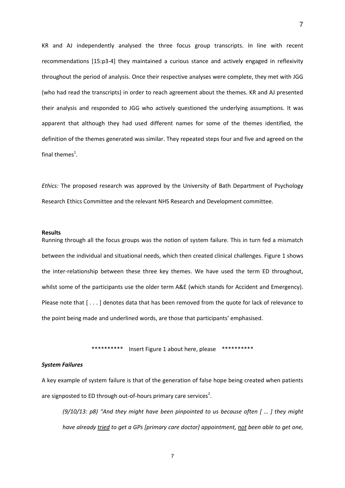KR and AJ independently analysed the three focus group transcripts. In line with recent recommendations [15:p3-4] they maintained a curious stance and actively engaged in reflexivity throughout the period of analysis. Once their respective analyses were complete, they met with JGG (who had read the transcripts) in order to reach agreement about the themes. KR and AJ presented their analysis and responded to JGG who actively questioned the underlying assumptions. It was apparent that although they had used different names for some of the themes identified, the definition of the themes generated was similar. They repeated steps four and five and agreed on the final themes<sup>1</sup>.

*Ethics:* The proposed research was approved by the University of Bath Department of Psychology Research Ethics Committee and the relevant NHS Research and Development committee.

#### **Results**

Running through all the focus groups was the notion of system failure. This in turn fed a mismatch between the individual and situational needs, which then created clinical challenges. Figure 1 shows the inter-relationship between these three key themes. We have used the term ED throughout, whilst some of the participants use the older term A&E (which stands for Accident and Emergency). Please note that [ . . . ] denotes data that has been removed from the quote for lack of relevance to the point being made and underlined words, are those that participants' emphasised.

\*\*\*\*\*\*\*\*\*\*\* Insert Figure 1 about here, please \*\*\*\*\*\*\*\*\*\*\*

# *System Failures*

A key example of system failure is that of the generation of false hope being created when patients are signposted to ED through out-of-hours primary care services<sup>2</sup>.

*(9/10/13: p8) "And they might have been pinpointed to us because often [ … ] they might have already tried to get a GPs [primary care doctor] appointment, not been able to get one,*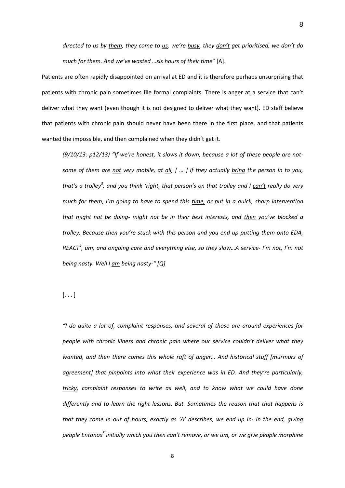*directed to us by them, they come to us, we're busy, they don't get prioritised, we don't do much for them. And we've wasted …six hours of their time*" [A].

Patients are often rapidly disappointed on arrival at ED and it is therefore perhaps unsurprising that patients with chronic pain sometimes file formal complaints. There is anger at a service that can't deliver what they want (even though it is not designed to deliver what they want). ED staff believe that patients with chronic pain should never have been there in the first place, and that patients wanted the impossible, and then complained when they didn't get it.

*(9/10/13: p12/13) "If we're honest, it slows it down, because a lot of these people are notsome of them are not very mobile, at all, [ … ] if they actually bring the person in to you, that's a trolley<sup>3</sup> , and you think 'right, that person's on that trolley and I can't really do very much for them, I'm going to have to spend this time, or put in a quick, sharp intervention that might not be doing- might not be in their best interests, and then you've blocked a trolley. Because then you're stuck with this person and you end up putting them onto EDA, REACT<sup>4</sup> , um, and ongoing care and everything else, so they slow…A service- I'm not, I'm not being nasty. Well I am being nasty-" [Q]*

[. . . ]

*"I do quite a lot of, complaint responses, and several of those are around experiences for people with chronic illness and chronic pain where our service couldn't deliver what they wanted, and then there comes this whole raft of anger… And historical stuff [murmurs of agreement] that pinpoints into what their experience was in ED. And they're particularly, tricky, complaint responses to write as well, and to know what we could have done differently and to learn the right lessons. But. Sometimes the reason that that happens is that they come in out of hours, exactly as 'A' describes, we end up in- in the end, giving people Entonox<sup>5</sup> initially which you then can't remove, or we um, or we give people morphine*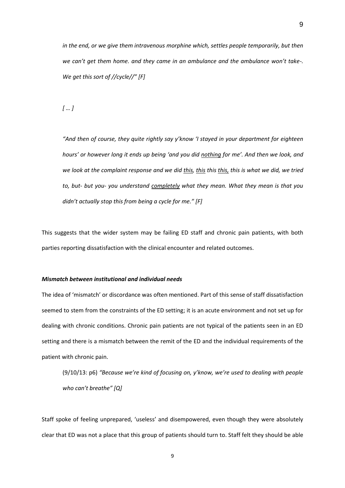*in the end, or we give them intravenous morphine which, settles people temporarily, but then we can't get them home. and they came in an ambulance and the ambulance won't take-. We get this sort of //cycle//" [F]*

*[ … ]* 

*"And then of course, they quite rightly say y'know 'I stayed in your department for eighteen hours' or however long it ends up being 'and you did nothing for me'. And then we look, and we look at the complaint response and we did this, this this this, this is what we did, we tried to, but- but you- you understand completely what they mean. What they mean is that you didn't actually stop this from being a cycle for me." [F]*

This suggests that the wider system may be failing ED staff and chronic pain patients, with both parties reporting dissatisfaction with the clinical encounter and related outcomes.

# *Mismatch between institutional and individual needs*

The idea of 'mismatch' or discordance was often mentioned. Part of this sense of staff dissatisfaction seemed to stem from the constraints of the ED setting; it is an acute environment and not set up for dealing with chronic conditions. Chronic pain patients are not typical of the patients seen in an ED setting and there is a mismatch between the remit of the ED and the individual requirements of the patient with chronic pain.

(9/10/13: p6) *"Because we're kind of focusing on, y'know, we're used to dealing with people who can't breathe" [Q]*

Staff spoke of feeling unprepared, 'useless' and disempowered, even though they were absolutely clear that ED was not a place that this group of patients should turn to. Staff felt they should be able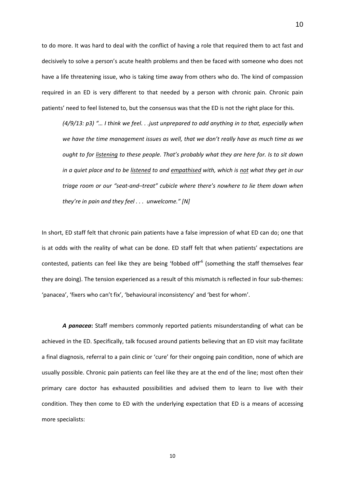to do more. It was hard to deal with the conflict of having a role that required them to act fast and decisively to solve a person's acute health problems and then be faced with someone who does not have a life threatening issue, who is taking time away from others who do. The kind of compassion required in an ED is very different to that needed by a person with chronic pain. Chronic pain patients' need to feel listened to, but the consensus was that the ED is not the right place for this.

*(4/9/13: p3) "… I think we feel. . .just unprepared to add anything in to that, especially when we have the time management issues as well, that we don't really have as much time as we ought to for listening to these people. That's probably what they are here for. Is to sit down in a quiet place and to be listened to and empathised with, which is not what they get in our triage room or our "seat-and–treat" cubicle where there's nowhere to lie them down when they're in pain and they feel . . . unwelcome." [N]*

In short, ED staff felt that chronic pain patients have a false impression of what ED can do; one that is at odds with the reality of what can be done. ED staff felt that when patients' expectations are contested, patients can feel like they are being 'fobbed off'<sup>6</sup> (something the staff themselves fear they are doing). The tension experienced as a result of this mismatch is reflected in four sub-themes: 'panacea', 'fixers who can't fix', 'behavioural inconsistency' and 'best for whom'.

*A panacea***:** Staff members commonly reported patients misunderstanding of what can be achieved in the ED. Specifically, talk focused around patients believing that an ED visit may facilitate a final diagnosis, referral to a pain clinic or 'cure' for their ongoing pain condition, none of which are usually possible. Chronic pain patients can feel like they are at the end of the line; most often their primary care doctor has exhausted possibilities and advised them to learn to live with their condition. They then come to ED with the underlying expectation that ED is a means of accessing more specialists: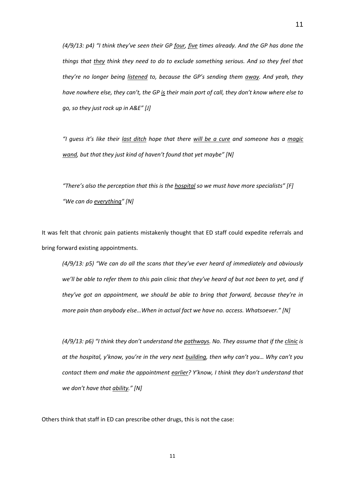*(4/9/13: p4) "I think they've seen their GP four, five times already. And the GP has done the things that they think they need to do to exclude something serious. And so they feel that they're no longer being listened to, because the GP's sending them away. And yeah, they have nowhere else, they can't, the GP is their main port of call, they don't know where else to go, so they just rock up in A&E" [J]*

*"I guess it's like their last ditch hope that there will be a cure and someone has a magic wand, but that they just kind of haven't found that yet maybe" [N]*

*"There's also the perception that this is the hospital so we must have more specialists" [F] "We can do everything" [N]*

It was felt that chronic pain patients mistakenly thought that ED staff could expedite referrals and bring forward existing appointments.

*(4/9/13: p5) "We can do all the scans that they've ever heard of immediately and obviously we'll be able to refer them to this pain clinic that they've heard of but not been to yet, and if they've got an appointment, we should be able to bring that forward, because they're in more pain than anybody else…When in actual fact we have no. access. Whatsoever." [N]*

*(4/9/13: p6) "I think they don't understand the pathways. No. They assume that if the clinic is at the hospital, y'know, you're in the very next building, then why can't you… Why can't you contact them and make the appointment earlier? Y'know, I think they don't understand that we don't have that ability." [N]*

Others think that staff in ED can prescribe other drugs, this is not the case: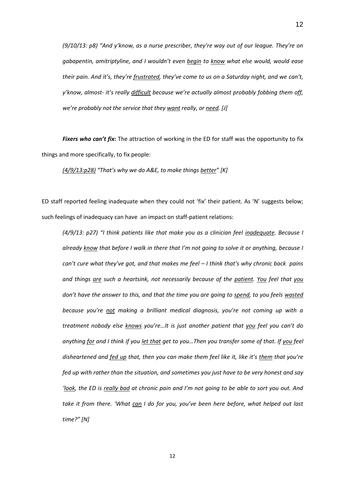*(9/10/13: p8) "And y'know, as a nurse prescriber, they're way out of our league. They're on gabapentin, amitriptyline, and I wouldn't even begin to know what else would, would ease their pain. And it's, they're frustrated, they've come to us on a Saturday night, and we can't, y'know, almost- it's really difficult because we're actually almost probably fobbing them off, we're probably not the service that they want really, or need. [J]* 

*Fixers who can't fix***:** The attraction of working in the ED for staff was the opportunity to fix things and more specifically, to fix people:

*(4/9/13:p28) "That's why we do A&E, to make things better" [K]*

ED staff reported feeling inadequate when they could not 'fix' their patient. As 'N' suggests below; such feelings of inadequacy can have an impact on staff-patient relations:

*(4/9/13: p27) "I think patients like that make you as a clinician feel inadequate. Because I already know that before I walk in there that I'm not going to solve it or anything, because I can't cure what they've got, and that makes me feel – I think that's why chronic back pains and things are such a heartsink, not necessarily because of the patient. You feel that you don't have the answer to this, and that the time you are going to spend, to you feels wasted because you're not making a brilliant medical diagnosis, you're not coming up with a treatment nobody else knows you're…It is just another patient that you feel you can't do anything for and I think if you let that get to you…Then you transfer some of that. If you feel disheartened and fed up that, then you can make them feel like it, like it's them that you're fed up with rather than the situation, and sometimes you just have to be very honest and say 'look, the ED is really bad at chronic pain and I'm not going to be able to sort you out. And take it from there. 'What can I do for you, you've been here before, what helped out last time?" [N]*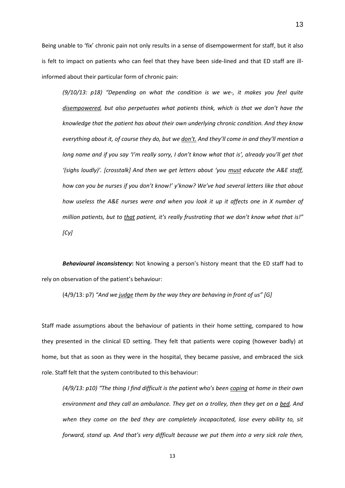Being unable to 'fix' chronic pain not only results in a sense of disempowerment for staff, but it also is felt to impact on patients who can feel that they have been side-lined and that ED staff are illinformed about their particular form of chronic pain:

*(9/10/13: p18) "Depending on what the condition is we we-, it makes you feel quite disempowered, but also perpetuates what patients think, which is that we don't have the knowledge that the patient has about their own underlying chronic condition. And they know everything about it, of course they do, but we don't. And they'll come in and they'll mention a long name and if you say 'I'm really sorry, I don't know what that is', already you'll get that '(sighs loudly)'. [crosstalk] And then we get letters about 'you must educate the A&E staff, how can you be nurses if you don't know!' y'know? We've had several letters like that about how useless the A&E nurses were and when you look it up it affects one in X number of million patients, but to that patient, it's really frustrating that we don't know what that is!" [Cy]* 

*Behavioural inconsistency***:** Not knowing a person's history meant that the ED staff had to rely on observation of the patient's behaviour:

(4/9/13: p7) *"And we judge them by the way they are behaving in front of us" [G]*

Staff made assumptions about the behaviour of patients in their home setting, compared to how they presented in the clinical ED setting. They felt that patients were coping (however badly) at home, but that as soon as they were in the hospital, they became passive, and embraced the sick role. Staff felt that the system contributed to this behaviour:

*(4/9/13: p10) "The thing I find difficult is the patient who's been coping at home in their own environment and they call an ambulance. They get on a trolley, then they get on a bed. And when they come on the bed they are completely incapacitated, lose every ability to, sit forward, stand up. And that's very difficult because we put them into a very sick role then,*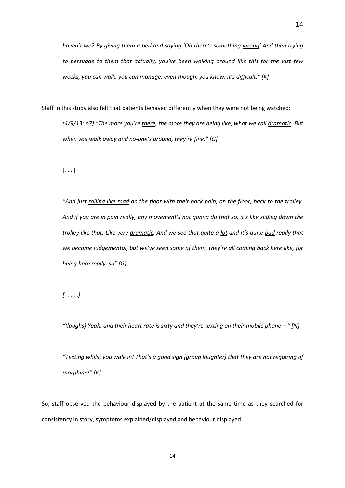*haven't we? By giving them a bed and saying 'Oh there's something wrong' And then trying to persuade to them that actually, you've been walking around like this for the last few weeks, you can walk, you can manage, even though, you know, it's difficult." [K]*

Staff in this study also felt that patients behaved differently when they were not being watched:

*(4/9/13: p7) "The more you're there, the more they are being like, what we call dramatic. But when you walk away and no-one's around, they're fine." [G]*

 $[...]$ 

*"And just rolling like mad on the floor with their back pain, on the floor, back to the trolley. And if you are in pain really, any movement's not gonna do that so, it's like sliding down the trolley like that. Like very dramatic. And we see that quite a lot and it's quite bad really that we become judgemental, but we've seen some of them, they're all coming back here like, for being here really, so" [G]*

*[. . . . .]* 

*"(laughs) Yeah, and their heart rate is sixty and they're texting on their mobile phone – " [N]*

*"Texting whilst you walk in! That's a good sign [group laughter] that they are not requiring of morphine!" [K]*

So, staff observed the behaviour displayed by the patient at the same time as they searched for consistency in story, symptoms explained/displayed and behaviour displayed: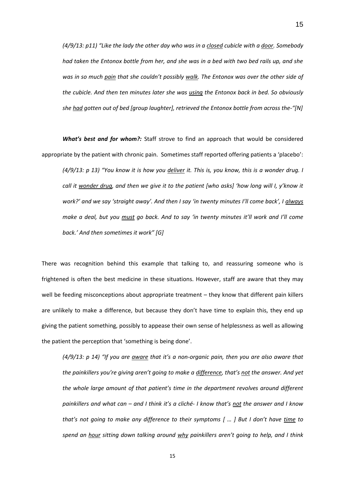*(4/9/13: p11) "Like the lady the other day who was in a closed cubicle with a door. Somebody had taken the Entonox bottle from her, and she was in a bed with two bed rails up, and she was in so much pain that she couldn't possibly walk. The Entonox was over the other side of the cubicle. And then ten minutes later she was using the Entonox back in bed. So obviously she had gotten out of bed [group laughter], retrieved the Entonox bottle from across the-"[N]*

*What's best and for whom?:* Staff strove to find an approach that would be considered appropriate by the patient with chronic pain. Sometimes staff reported offering patients a 'placebo': *(4/9/13: p 13) "You know it is how you deliver it. This is, you know, this is a wonder drug. I call it wonder drug, and then we give it to the patient [who asks] 'how long will I, y'know it work?' and we say 'straight away'. And then I say 'in twenty minutes I'll come back', I always make a deal, but you must go back. And to say 'in twenty minutes it'll work and I'll come back.' And then sometimes it work" [G]*

There was recognition behind this example that talking to, and reassuring someone who is frightened is often the best medicine in these situations. However, staff are aware that they may well be feeding misconceptions about appropriate treatment – they know that different pain killers are unlikely to make a difference, but because they don't have time to explain this, they end up giving the patient something, possibly to appease their own sense of helplessness as well as allowing the patient the perception that 'something is being done'.

*(4/9/13: p 14) "If you are aware that it's a non-organic pain, then you are also aware that the painkillers you're giving aren't going to make a difference, that's not the answer. And yet the whole large amount of that patient's time in the department revolves around different painkillers and what can – and I think it's a cliché- I know that's not the answer and I know that's not going to make any difference to their symptoms [ … ] But I don't have time to spend an hour sitting down talking around why painkillers aren't going to help, and I think*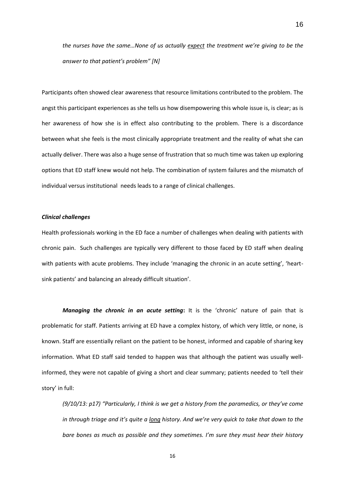*the nurses have the same…None of us actually expect the treatment we're giving to be the answer to that patient's problem" [N]*

Participants often showed clear awareness that resource limitations contributed to the problem. The angst this participant experiences as she tells us how disempowering this whole issue is, is clear; as is her awareness of how she is in effect also contributing to the problem. There is a discordance between what she feels is the most clinically appropriate treatment and the reality of what she can actually deliver. There was also a huge sense of frustration that so much time was taken up exploring options that ED staff knew would not help. The combination of system failures and the mismatch of individual versus institutional needs leads to a range of clinical challenges.

# *Clinical challenges*

Health professionals working in the ED face a number of challenges when dealing with patients with chronic pain. Such challenges are typically very different to those faced by ED staff when dealing with patients with acute problems. They include 'managing the chronic in an acute setting', 'heartsink patients' and balancing an already difficult situation'.

*Managing the chronic in an acute setting***:** It is the 'chronic' nature of pain that is problematic for staff. Patients arriving at ED have a complex history, of which very little, or none, is known. Staff are essentially reliant on the patient to be honest, informed and capable of sharing key information. What ED staff said tended to happen was that although the patient was usually wellinformed, they were not capable of giving a short and clear summary; patients needed to 'tell their story' in full:

*(9/10/13: p17) "Particularly, I think is we get a history from the paramedics, or they've come in through triage and it's quite a long history. And we're very quick to take that down to the bare bones as much as possible and they sometimes. I'm sure they must hear their history*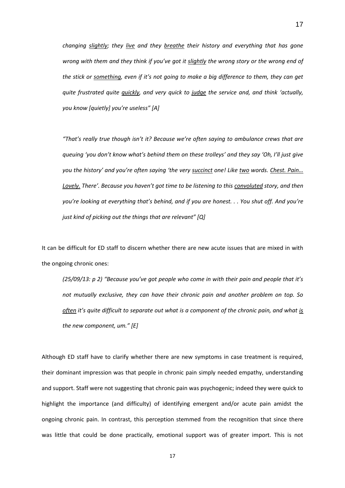*changing slightly; they live and they breathe their history and everything that has gone wrong with them and they think if you've got it slightly the wrong story or the wrong end of the stick or something, even if it's not going to make a big difference to them, they can get quite frustrated quite quickly, and very quick to judge the service and, and think 'actually, you know [quietly] you're useless" [A]*

*"That's really true though isn't it? Because we're often saying to ambulance crews that are queuing 'you don't know what's behind them on these trolleys' and they say 'Oh, I'll just give you the history' and you're often saying 'the very succinct one! Like two words. Chest. Pain… Lovely. There'. Because you haven't got time to be listening to this convoluted story, and then you're looking at everything that's behind, and if you are honest. . . You shut off. And you're just kind of picking out the things that are relevant" [Q]*

It can be difficult for ED staff to discern whether there are new acute issues that are mixed in with the ongoing chronic ones:

*(25/09/13: p 2) "Because you've got people who come in with their pain and people that it's not mutually exclusive, they can have their chronic pain and another problem on top. So often it's quite difficult to separate out what is a component of the chronic pain, and what is the new component, um." [E]*

Although ED staff have to clarify whether there are new symptoms in case treatment is required, their dominant impression was that people in chronic pain simply needed empathy, understanding and support. Staff were not suggesting that chronic pain was psychogenic; indeed they were quick to highlight the importance (and difficulty) of identifying emergent and/or acute pain amidst the ongoing chronic pain. In contrast, this perception stemmed from the recognition that since there was little that could be done practically, emotional support was of greater import. This is not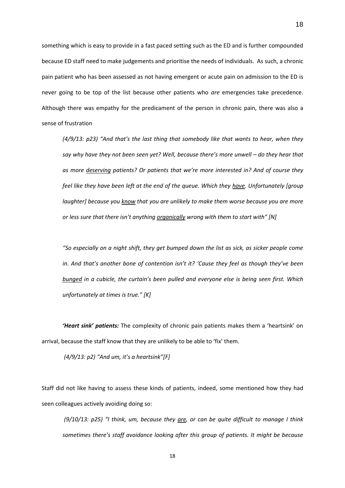something which is easy to provide in a fast paced setting such as the ED and is further compounded because ED staff need to make judgements and prioritise the needs of individuals. As such, a chronic pain patient who has been assessed as not having emergent or acute pain on admission to the ED is never going to be top of the list because other patients who *are* emergencies take precedence. Although there was empathy for the predicament of the person in chronic pain, there was also a sense of frustration

*(4/9/13: p23) "And that's the last thing that somebody like that wants to hear, when they say why have they not been seen yet? Well, because there's more unwell – do they hear that as more deserving patients? Or patients that we're more interested in? And of course they*  feel like they have been left at the end of the queue. Which they have. Unfortunately [group *laughter] because you know that you are unlikely to make them worse because you are more or less sure that there isn't anything organically wrong with them to start with" [N]*

*"So especially on a night shift, they get bumped down the list as sick, as sicker people come in. And that's another bone of contention isn't it? 'Cause they feel as though they've been bunged in a cubicle, the curtain's been pulled and everyone else is being seen first. Which unfortunately at times is true." [K]*

*'Heart sink' patients:* The complexity of chronic pain patients makes them a 'heartsink' on arrival, because the staff know that they are unlikely to be able to 'fix' them.

 *(4/9/13: p2) "And um, it's a heartsink"[F]*

Staff did not like having to assess these kinds of patients, indeed, some mentioned how they had seen colleagues actively avoiding doing so:

*(9/10/13: p25) "I think, um, because they are, or can be quite difficult to manage I think sometimes there's staff avoidance looking after this group of patients. It might be because*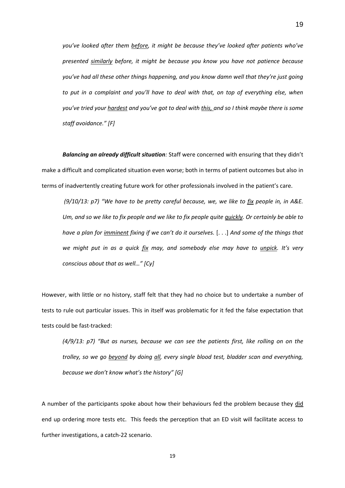*you've looked after them before, it might be because they've looked after patients who've presented similarly before, it might be because you know you have not patience because you've had all these other things happening, and you know damn well that they're just going to put in a complaint and you'll have to deal with that, on top of everything else, when you've tried your hardest and you've got to deal with this, and so I think maybe there is some staff avoidance." [F]*

*Balancing an already difficult situation:* Staff were concerned with ensuring that they didn't make a difficult and complicated situation even worse; both in terms of patient outcomes but also in terms of inadvertently creating future work for other professionals involved in the patient's care.

*(9/10/13: p7) "We have to be pretty careful because, we, we like to fix people in, in A&E. Um, and so we like to fix people and we like to fix people quite quickly. Or certainly be able to have a plan for imminent fixing if we can't do it ourselves.* [. . .] *And some of the things that we might put in as a quick fix may, and somebody else may have to unpick. It's very conscious about that as well…" [Cy]*

However, with little or no history, staff felt that they had no choice but to undertake a number of tests to rule out particular issues. This in itself was problematic for it fed the false expectation that tests could be fast-tracked:

*(4/9/13: p7) "But as nurses, because we can see the patients first, like rolling on on the trolley, so we go beyond by doing all, every single blood test, bladder scan and everything, because we don't know what's the history" [G]*

A number of the participants spoke about how their behaviours fed the problem because they did end up ordering more tests etc. This feeds the perception that an ED visit will facilitate access to further investigations, a catch-22 scenario.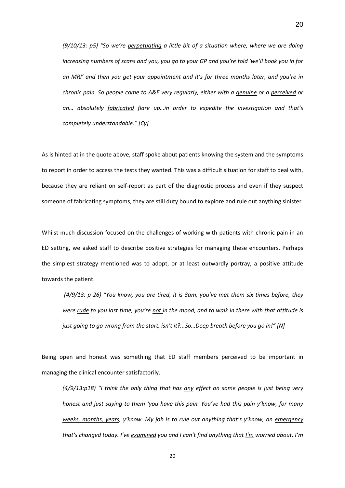*(9/10/13: p5) "So we're perpetuating a little bit of a situation where, where we are doing increasing numbers of scans and you, you go to your GP and you're told 'we'll book you in for an MRI' and then you get your appointment and it's for three months later, and you're in chronic pain. So people come to A&E very regularly, either with a genuine or a perceived or an… absolutely fabricated flare up…in order to expedite the investigation and that's completely understandable." [Cy]*

As is hinted at in the quote above, staff spoke about patients knowing the system and the symptoms to report in order to access the tests they wanted. This was a difficult situation for staff to deal with, because they are reliant on self-report as part of the diagnostic process and even if they suspect someone of fabricating symptoms, they are still duty bound to explore and rule out anything sinister.

Whilst much discussion focused on the challenges of working with patients with chronic pain in an ED setting, we asked staff to describe positive strategies for managing these encounters. Perhaps the simplest strategy mentioned was to adopt, or at least outwardly portray, a positive attitude towards the patient.

*(4/9/13: p 26) "You know, you are tired, it is 3am, you've met them six times before, they were rude to you last time, you're not in the mood, and to walk in there with that attitude is just going to go wrong from the start, isn't it?...So…Deep breath before you go in!" [N]*

Being open and honest was something that ED staff members perceived to be important in managing the clinical encounter satisfactorily.

*(4/9/13:p18) "I think the only thing that has any effect on some people is just being very honest and just saying to them 'you have this pain. You've had this pain y'know, for many weeks, months, years, y'know. My job is to rule out anything that's y'know, an emergency that's changed today. I've examined you and I can't find anything that I'm worried about. I'm*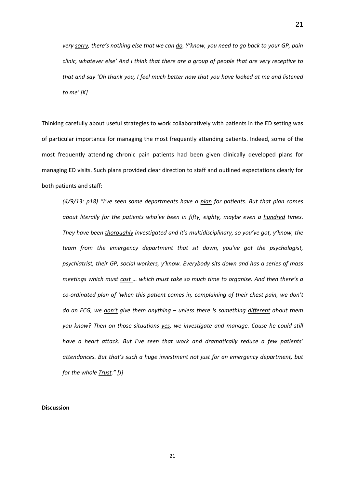*very sorry, there's nothing else that we can do. Y'know, you need to go back to your GP, pain clinic, whatever else' And I think that there are a group of people that are very receptive to that and say 'Oh thank you, I feel much better now that you have looked at me and listened to me' [K]*

21

Thinking carefully about useful strategies to work collaboratively with patients in the ED setting was of particular importance for managing the most frequently attending patients. Indeed, some of the most frequently attending chronic pain patients had been given clinically developed plans for managing ED visits. Such plans provided clear direction to staff and outlined expectations clearly for both patients and staff:

*(4/9/13: p18) "I've seen some departments have a plan for patients. But that plan comes about literally for the patients who've been in fifty, eighty, maybe even a hundred times. They have been thoroughly investigated and it's multidisciplinary, so you've got, y'know, the team from the emergency department that sit down, you've got the psychologist, psychiatrist, their GP, social workers, y'know. Everybody sits down and has a series of mass meetings which must cost … which must take so much time to organise. And then there's a co-ordinated plan of 'when this patient comes in, complaining of their chest pain, we don't do an ECG, we don't give them anything – unless there is something different about them you know? Then on those situations yes, we investigate and manage. Cause he could still have a heart attack. But I've seen that work and dramatically reduce a few patients' attendances. But that's such a huge investment not just for an emergency department, but for the whole Trust." [J]*

#### **Discussion**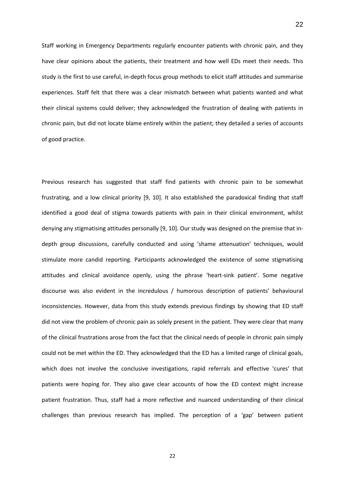Staff working in Emergency Departments regularly encounter patients with chronic pain, and they have clear opinions about the patients, their treatment and how well EDs meet their needs. This study is the first to use careful, in-depth focus group methods to elicit staff attitudes and summarise experiences. Staff felt that there was a clear mismatch between what patients wanted and what their clinical systems could deliver; they acknowledged the frustration of dealing with patients in chronic pain, but did not locate blame entirely within the patient; they detailed a series of accounts of good practice.

Previous research has suggested that staff find patients with chronic pain to be somewhat frustrating, and a low clinical priority [9, 10]. It also established the paradoxical finding that staff identified a good deal of stigma towards patients with pain in their clinical environment, whilst denying any stigmatising attitudes personally [9, 10]. Our study was designed on the premise that indepth group discussions, carefully conducted and using 'shame attenuation' techniques, would stimulate more candid reporting. Participants acknowledged the existence of some stigmatising attitudes and clinical avoidance openly, using the phrase 'heart-sink patient'. Some negative discourse was also evident in the incredulous / humorous description of patients' behavioural inconsistencies. However, data from this study extends previous findings by showing that ED staff did not view the problem of chronic pain as solely present in the patient. They were clear that many of the clinical frustrations arose from the fact that the clinical needs of people in chronic pain simply could not be met within the ED. They acknowledged that the ED has a limited range of clinical goals, which does not involve the conclusive investigations, rapid referrals and effective 'cures' that patients were hoping for. They also gave clear accounts of how the ED context might increase patient frustration. Thus, staff had a more reflective and nuanced understanding of their clinical challenges than previous research has implied. The perception of a 'gap' between patient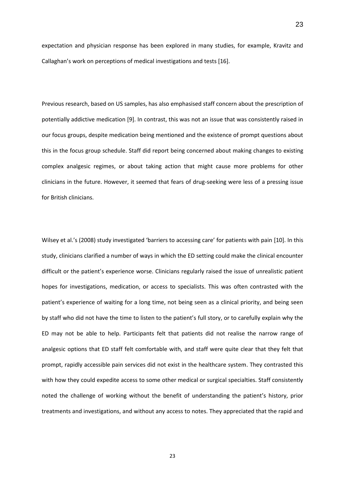expectation and physician response has been explored in many studies, for example, Kravitz and Callaghan's work on perceptions of medical investigations and tests [16].

23

Previous research, based on US samples, has also emphasised staff concern about the prescription of potentially addictive medication [9]. In contrast, this was not an issue that was consistently raised in our focus groups, despite medication being mentioned and the existence of prompt questions about this in the focus group schedule. Staff did report being concerned about making changes to existing complex analgesic regimes, or about taking action that might cause more problems for other clinicians in the future. However, it seemed that fears of drug-seeking were less of a pressing issue for British clinicians.

Wilsey et al.'s (2008) study investigated 'barriers to accessing care' for patients with pain [10]. In this study, clinicians clarified a number of ways in which the ED setting could make the clinical encounter difficult or the patient's experience worse. Clinicians regularly raised the issue of unrealistic patient hopes for investigations, medication, or access to specialists. This was often contrasted with the patient's experience of waiting for a long time, not being seen as a clinical priority, and being seen by staff who did not have the time to listen to the patient's full story, or to carefully explain why the ED may not be able to help. Participants felt that patients did not realise the narrow range of analgesic options that ED staff felt comfortable with, and staff were quite clear that they felt that prompt, rapidly accessible pain services did not exist in the healthcare system. They contrasted this with how they could expedite access to some other medical or surgical specialties. Staff consistently noted the challenge of working without the benefit of understanding the patient's history, prior treatments and investigations, and without any access to notes. They appreciated that the rapid and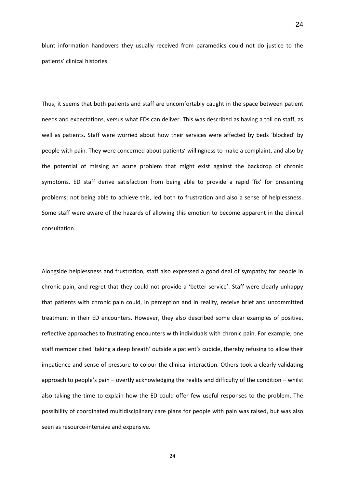blunt information handovers they usually received from paramedics could not do justice to the patients' clinical histories.

24

Thus, it seems that both patients and staff are uncomfortably caught in the space between patient needs and expectations, versus what EDs can deliver. This was described as having a toll on staff, as well as patients. Staff were worried about how their services were affected by beds 'blocked' by people with pain. They were concerned about patients' willingness to make a complaint, and also by the potential of missing an acute problem that might exist against the backdrop of chronic symptoms. ED staff derive satisfaction from being able to provide a rapid 'fix' for presenting problems; not being able to achieve this, led both to frustration and also a sense of helplessness. Some staff were aware of the hazards of allowing this emotion to become apparent in the clinical consultation.

Alongside helplessness and frustration, staff also expressed a good deal of sympathy for people in chronic pain, and regret that they could not provide a 'better service'. Staff were clearly unhappy that patients with chronic pain could, in perception and in reality, receive brief and uncommitted treatment in their ED encounters. However, they also described some clear examples of positive, reflective approaches to frustrating encounters with individuals with chronic pain. For example, one staff member cited 'taking a deep breath' outside a patient's cubicle, thereby refusing to allow their impatience and sense of pressure to colour the clinical interaction. Others took a clearly validating approach to people's pain – overtly acknowledging the reality and difficulty of the condition – whilst also taking the time to explain how the ED could offer few useful responses to the problem. The possibility of coordinated multidisciplinary care plans for people with pain was raised, but was also seen as resource-intensive and expensive.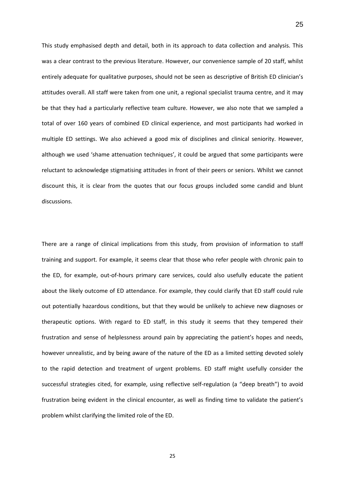This study emphasised depth and detail, both in its approach to data collection and analysis. This was a clear contrast to the previous literature. However, our convenience sample of 20 staff, whilst entirely adequate for qualitative purposes, should not be seen as descriptive of British ED clinician's attitudes overall. All staff were taken from one unit, a regional specialist trauma centre, and it may be that they had a particularly reflective team culture. However, we also note that we sampled a total of over 160 years of combined ED clinical experience, and most participants had worked in multiple ED settings. We also achieved a good mix of disciplines and clinical seniority. However, although we used 'shame attenuation techniques', it could be argued that some participants were reluctant to acknowledge stigmatising attitudes in front of their peers or seniors. Whilst we cannot discount this, it is clear from the quotes that our focus groups included some candid and blunt discussions.

There are a range of clinical implications from this study, from provision of information to staff training and support. For example, it seems clear that those who refer people with chronic pain to the ED, for example, out-of-hours primary care services, could also usefully educate the patient about the likely outcome of ED attendance. For example, they could clarify that ED staff could rule out potentially hazardous conditions, but that they would be unlikely to achieve new diagnoses or therapeutic options. With regard to ED staff, in this study it seems that they tempered their frustration and sense of helplessness around pain by appreciating the patient's hopes and needs, however unrealistic, and by being aware of the nature of the ED as a limited setting devoted solely to the rapid detection and treatment of urgent problems. ED staff might usefully consider the successful strategies cited, for example, using reflective self-regulation (a "deep breath") to avoid frustration being evident in the clinical encounter, as well as finding time to validate the patient's problem whilst clarifying the limited role of the ED.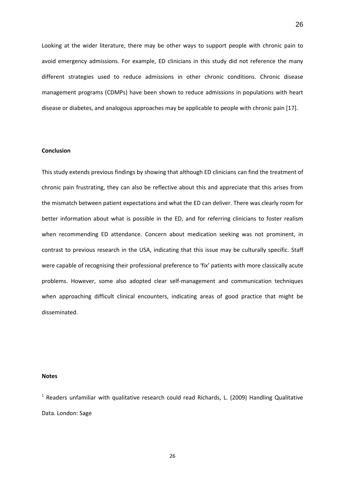Looking at the wider literature, there may be other ways to support people with chronic pain to avoid emergency admissions. For example, ED clinicians in this study did not reference the many different strategies used to reduce admissions in other chronic conditions. Chronic disease management programs (CDMPs) have been shown to reduce admissions in populations with heart disease or diabetes, and analogous approaches may be applicable to people with chronic pain [17].

26

## **Conclusion**

This study extends previous findings by showing that although ED clinicians can find the treatment of chronic pain frustrating, they can also be reflective about this and appreciate that this arises from the mismatch between patient expectations and what the ED can deliver. There was clearly room for better information about what is possible in the ED, and for referring clinicians to foster realism when recommending ED attendance. Concern about medication seeking was not prominent, in contrast to previous research in the USA, indicating that this issue may be culturally specific. Staff were capable of recognising their professional preference to 'fix' patients with more classically acute problems. However, some also adopted clear self-management and communication techniques when approaching difficult clinical encounters, indicating areas of good practice that might be disseminated.

## **Notes**

<sup>1</sup> Readers unfamiliar with qualitative research could read Richards, L. (2009) Handling Qualitative Data. London: Sage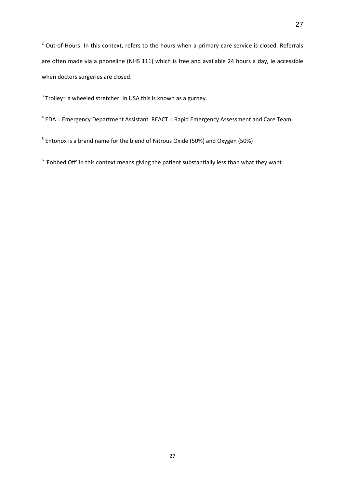Out-of-Hours: In this context, refers to the hours when a primary care service is closed. Referrals are often made via a phoneline (NHS 111) which is free and available 24 hours a day, ie accessible when doctors surgeries are closed.

Trolley= a wheeled stretcher. In USA this is known as a gurney.

EDA = Emergency Department Assistant REACT = Rapid Emergency Assessment and Care Team

<sup>5</sup> Entonox is a brand name for the blend of Nitrous Oxide (50%) and Oxygen (50%)

'Fobbed Off' in this context means giving the patient substantially less than what they want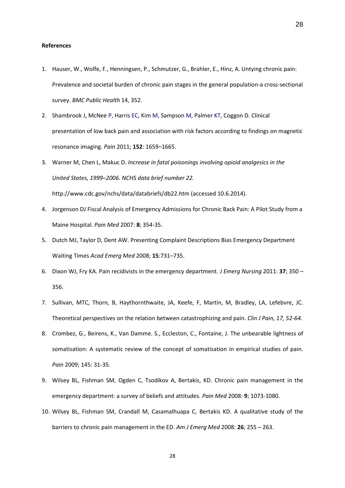#### **References**

- 1. Hauser, W., Wolfe, F., Henningsen, P., Schmutzer, G., Brahler, E., Hinz, A. Untying chronic pain: Prevalence and societal burden of chronic pain stages in the general population-a cross-sectional survey. *BMC Public Health* 14, 352.
- 2. Shambrook J, McNee P, Harris EC, Kim M, Sampson M, Palmer KT, Coggon D. Clinical presentation of low back pain and association with risk factors according to findings on magnetic resonance imaging. *Pain* 2011; **152**: 1659–1665.
- 3. Warner M, Chen L, Makuc D. *Increase in fatal poisonings involving opioid analgesics in the United States, 1999–2006. NCHS data brief number 22.* http://www.cdc.gov/nchs/data/databriefs/db22.htm (accessed 10.6.2014).
- 4. Jorgenson DJ Fiscal Analysis of Emergency Admissions for Chronic Back Pain: A Pilot Study from a Maine Hospital. *Pain Med* 2007: **8**; 354-35.
- 5. Dutch MJ, Taylor D, Dent AW. Presenting Complaint Descriptions Bias Emergency Department Waiting Times *Acad Emerg Med* 2008; **15**:731–735.
- 6. Dixon WJ, Fry KA. Pain recidivists in the emergency department. *J Emerg Nursing* 2011: **37**; 350 356.
- 7. Sullivan, MTC, Thorn, B, Haythornthwaite, JA, Keefe, F, Martin, M, Bradley, LA, Lefebvre, JC. Theoretical perspectives on the relation between catastrophizing and pain. *Clin J Pain, 17, 52-64.*
- 8. Crombez, G., Beirens, K., Van Damme. S., Eccleston, C., Fontaine, J. The unbearable lightness of somatisation: A systematic review of the concept of somatisation in empirical studies of pain. *Pain* 2009; 145: 31-35.
- 9. Wilsey BL, Fishman SM, Ogden C, Tsodikov A, Bertakis, KD. Chronic pain management in the emergency department: a survey of beliefs and attitudes. *Pain Med* 2008: **9**; 1073-1080.
- 10. Wilsey BL, Fishman SM, Crandall M, Casamalhuapa C, Bertakis KD. A qualitative study of the barriers to chronic pain management in the ED. *Am J Emerg Med* 2008: **26**; 255 – 263.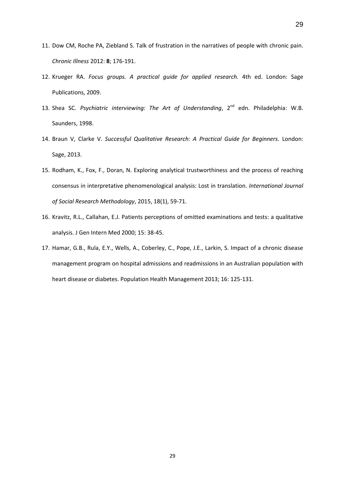- 11. Dow CM, Roche PA, Ziebland S. Talk of frustration in the narratives of people with chronic pain. *Chronic Illness* 2012: **8**; 176-191.
- 12. Krueger RA. *Focus groups. A practical guide for applied research.* 4th ed. London: Sage Publications, 2009.
- 13. Shea SC. Psychiatric interviewing: The Art of Understanding, 2<sup>nd</sup> edn. Philadelphia: W.B. Saunders, 1998.
- 14. Braun V, Clarke V. *Successful Qualitative Research: A Practical Guide for Beginners.* London: Sage, 2013.
- 15. Rodham, K., Fox, F., Doran, N. Exploring analytical trustworthiness and the process of reaching consensus in interpretative phenomenological analysis: Lost in translation. *International Journal of Social Research Methodology*, 2015, 18(1), 59-71.
- 16. Kravitz, R.L., Callahan, E.J. Patients perceptions of omitted examinations and tests: a qualitative analysis. J Gen Intern Med 2000; 15: 38-45.
- 17. Hamar, G.B., Rula, E.Y., Wells, A., Coberley, C., Pope, J.E., Larkin, S. Impact of a chronic disease management program on hospital admissions and readmissions in an Australian population with heart disease or diabetes. Population Health Management 2013; 16: 125-131.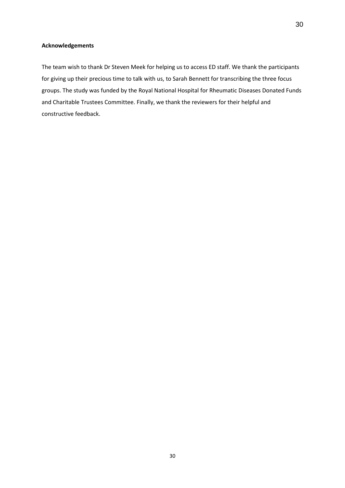# **Acknowledgements**

The team wish to thank Dr Steven Meek for helping us to access ED staff. We thank the participants for giving up their precious time to talk with us, to Sarah Bennett for transcribing the three focus groups. The study was funded by the Royal National Hospital for Rheumatic Diseases Donated Funds and Charitable Trustees Committee. Finally, we thank the reviewers for their helpful and constructive feedback.